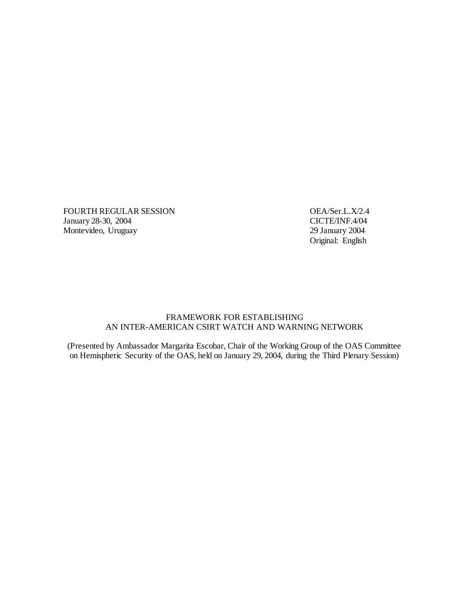FOURTH REGULAR SESSION OEA/Ser.L.X/2.4<br>January 28-30, 2004 CICTE/INF.4/04 January 28-30, 2004<br>
Montevideo, Uruguay<br>
29 January 2004 Montevideo, Uruguay

Original: English

# FRAMEWORK FOR ESTABLISHING AN INTER-AMERICAN CSIRT WATCH AND WARNING NETWORK

(Presented by Ambassador Margarita Escobar, Chair of the Working Group of the OAS Committee on Hemispheric Security of the OAS, held on January 29, 2004, during the Third Plenary Session)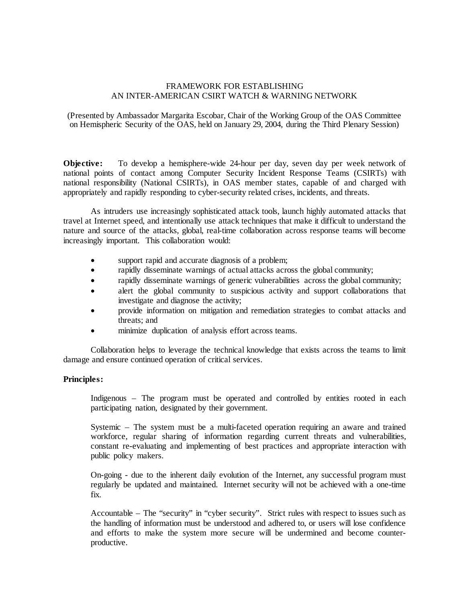# FRAMEWORK FOR ESTABLISHING AN INTER-AMERICAN CSIRT WATCH & WARNING NETWORK

(Presented by Ambassador Margarita Escobar, Chair of the Working Group of the OAS Committee on Hemispheric Security of the OAS, held on January 29, 2004, during the Third Plenary Session)

**Objective:** To develop a hemisphere-wide 24-hour per day, seven day per week network of national points of contact among Computer Security Incident Response Teams (CSIRTs) with national responsibility (National CSIRTs), in OAS member states, capable of and charged with appropriately and rapidly responding to cyber-security related crises, incidents, and threats.

As intruders use increasingly sophisticated attack tools, launch highly automated attacks that travel at Internet speed, and intentionally use attack techniques that make it difficult to understand the nature and source of the attacks, global, real-time collaboration across response teams will become increasingly important. This collaboration would:

- support rapid and accurate diagnosis of a problem;
- rapidly disseminate warnings of actual attacks across the global community;
- rapidly disseminate warnings of generic vulnerabilities across the global community;
- alert the global community to suspicious activity and support collaborations that investigate and diagnose the activity;
- provide information on mitigation and remediation strategies to combat attacks and threats; and
- minimize duplication of analysis effort across teams.

Collaboration helps to leverage the technical knowledge that exists across the teams to limit damage and ensure continued operation of critical services.

# **Principles:**

Indigenous – The program must be operated and controlled by entities rooted in each participating nation, designated by their government.

Systemic – The system must be a multi-faceted operation requiring an aware and trained workforce, regular sharing of information regarding current threats and vulnerabilities, constant re-evaluating and implementing of best practices and appropriate interaction with public policy makers.

On-going - due to the inherent daily evolution of the Internet, any successful program must regularly be updated and maintained. Internet security will not be achieved with a one-time fix.

Accountable – The "security" in "cyber security". Strict rules with respect to issues such as the handling of information must be understood and adhered to, or users will lose confidence and efforts to make the system more secure will be undermined and become counterproductive.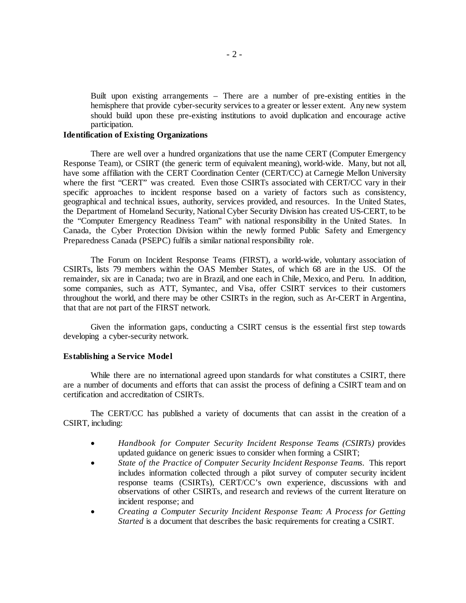Built upon existing arrangements – There are a number of pre-existing entities in the hemisphere that provide cyber-security services to a greater or lesser extent. Any new system should build upon these pre-existing institutions to avoid duplication and encourage active participation.

## **Identification of Existing Organizations**

There are well over a hundred organizations that use the name CERT (Computer Emergency Response Team), or CSIRT (the generic term of equivalent meaning), world-wide. Many, but not all, have some affiliation with the CERT Coordination Center (CERT/CC) at Carnegie Mellon University where the first "CERT" was created. Even those CSIRTs associated with CERT/CC vary in their specific approaches to incident response based on a variety of factors such as consistency, geographical and technical issues, authority, services provided, and resources. In the United States, the Department of Homeland Security, National Cyber Security Division has created US-CERT, to be the "Computer Emergency Readiness Team" with national responsibility in the United States. In Canada, the Cyber Protection Division within the newly formed Public Safety and Emergency Preparedness Canada (PSEPC) fulfils a similar national responsibility role.

The Forum on Incident Response Teams (FIRST), a world-wide, voluntary association of CSIRTs, lists 79 members within the OAS Member States, of which 68 are in the US. Of the remainder, six are in Canada; two are in Brazil, and one each in Chile, Mexico, and Peru. In addition, some companies, such as ATT, Symantec, and Visa, offer CSIRT services to their customers throughout the world, and there may be other CSIRTs in the region, such as Ar-CERT in Argentina, that that are not part of the FIRST network.

Given the information gaps, conducting a CSIRT census is the essential first step towards developing a cyber-security network.

## **Establishing a Service Model**

While there are no international agreed upon standards for what constitutes a CSIRT, there are a number of documents and efforts that can assist the process of defining a CSIRT team and on certification and accreditation of CSIRTs.

The CERT/CC has published a variety of documents that can assist in the creation of a CSIRT, including:

- *Handbook for Computer Security Incident Response Teams (CSIRTs)* provides updated guidance on generic issues to consider when forming a CSIRT;
- *State of the Practice of Computer Security Incident Response Teams*. This report includes information collected through a pilot survey of computer security incident response teams (CSIRTs), CERT/CC's own experience, discussions with and observations of other CSIRTs, and research and reviews of the current literature on incident response; and
- *Creating a Computer Security Incident Response Team: A Process for Getting Started* is a document that describes the basic requirements for creating a CSIRT.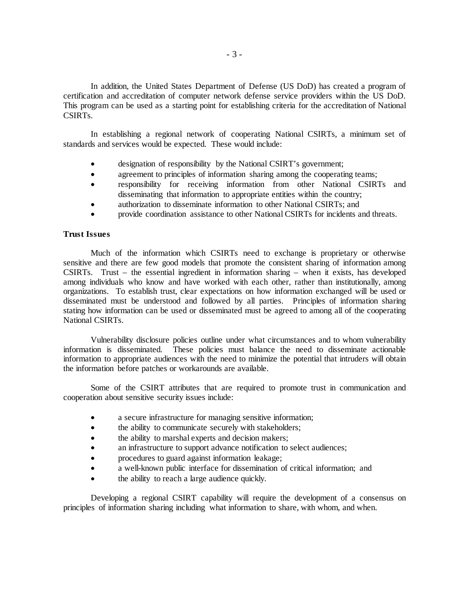In addition, the United States Department of Defense (US DoD) has created a program of certification and accreditation of computer network defense service providers within the US DoD. This program can be used as a starting point for establishing criteria for the accreditation of National CSIRTs.

In establishing a regional network of cooperating National CSIRTs, a minimum set of standards and services would be expected. These would include:

- designation of responsibility by the National CSIRT's government;
- agreement to principles of information sharing among the cooperating teams;
- responsibility for receiving information from other National CSIRTs and disseminating that information to appropriate entities within the country;
- authorization to disseminate information to other National CSIRTs; and
- provide coordination assistance to other National CSIRTs for incidents and threats.

# **Trust Issues**

Much of the information which CSIRTs need to exchange is proprietary or otherwise sensitive and there are few good models that promote the consistent sharing of information among CSIRTs. Trust – the essential ingredient in information sharing – when it exists, has developed among individuals who know and have worked with each other, rather than institutionally, among organizations. To establish trust, clear expectations on how information exchanged will be used or disseminated must be understood and followed by all parties. Principles of information sharing stating how information can be used or disseminated must be agreed to among all of the cooperating National CSIRTs.

Vulnerability disclosure policies outline under what circumstances and to whom vulnerability information is disseminated. These policies must balance the need to disseminate actionable information to appropriate audiences with the need to minimize the potential that intruders will obtain the information before patches or workarounds are available.

Some of the CSIRT attributes that are required to promote trust in communication and cooperation about sensitive security issues include:

- a secure infrastructure for managing sensitive information;
- the ability to communicate securely with stakeholders;
- the ability to marshal experts and decision makers;
- an infrastructure to support advance notification to select audiences;
- procedures to guard against information leakage;
- a well-known public interface for dissemination of critical information; and
- the ability to reach a large audience quickly.

Developing a regional CSIRT capability will require the development of a consensus on principles of information sharing including what information to share, with whom, and when.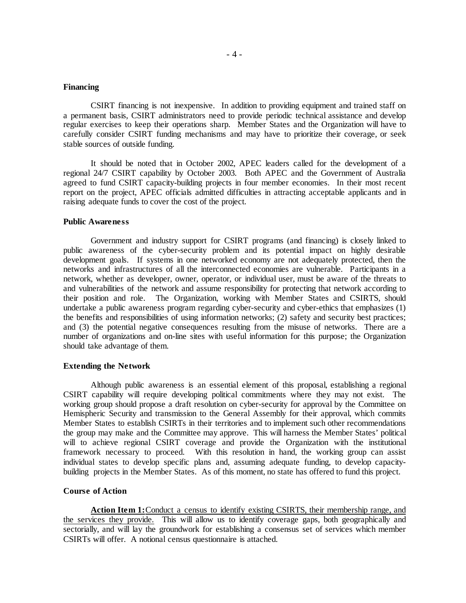#### **Financing**

CSIRT financing is not inexpensive. In addition to providing equipment and trained staff on a permanent basis, CSIRT administrators need to provide periodic technical assistance and develop regular exercises to keep their operations sharp. Member States and the Organization will have to carefully consider CSIRT funding mechanisms and may have to prioritize their coverage, or seek stable sources of outside funding.

It should be noted that in October 2002, APEC leaders called for the development of a regional 24/7 CSIRT capability by October 2003. Both APEC and the Government of Australia agreed to fund CSIRT capacity-building projects in four member economies. In their most recent report on the project, APEC officials admitted difficulties in attracting acceptable applicants and in raising adequate funds to cover the cost of the project.

## **Public Awareness**

Government and industry support for CSIRT programs (and financing) is closely linked to public awareness of the cyber-security problem and its potential impact on highly desirable development goals. If systems in one networked economy are not adequately protected, then the networks and infrastructures of all the interconnected economies are vulnerable. Participants in a network, whether as developer, owner, operator, or individual user, must be aware of the threats to and vulnerabilities of the network and assume responsibility for protecting that network according to their position and role. The Organization, working with Member States and CSIRTS, should undertake a public awareness program regarding cyber-security and cyber-ethics that emphasizes (1) the benefits and responsibilities of using information networks; (2) safety and security best practices; and (3) the potential negative consequences resulting from the misuse of networks. There are a number of organizations and on-line sites with useful information for this purpose; the Organization should take advantage of them.

#### **Extending the Network**

Although public awareness is an essential element of this proposal, establishing a regional CSIRT capability will require developing political commitments where they may not exist. The working group should propose a draft resolution on cyber-security for approval by the Committee on Hemispheric Security and transmission to the General Assembly for their approval, which commits Member States to establish CSIRTs in their territories and to implement such other recommendations the group may make and the Committee may approve. This will harness the Member States' political will to achieve regional CSIRT coverage and provide the Organization with the institutional framework necessary to proceed. With this resolution in hand, the working group can assist individual states to develop specific plans and, assuming adequate funding, to develop capacitybuilding projects in the Member States. As of this moment, no state has offered to fund this project.

#### **Course of Action**

**Action Item 1:**Conduct a census to identify existing CSIRTS, their membership range, and the services they provide. This will allow us to identify coverage gaps, both geographically and sectorially, and will lay the groundwork for establishing a consensus set of services which member CSIRTs will offer. A notional census questionnaire is attached.